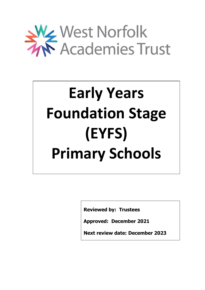

# **Early Years Foundation Stage (EYFS) Primary Schools**

**Reviewed by: Trustees**

**Approved: December 2021**

**Next review date: December 2023**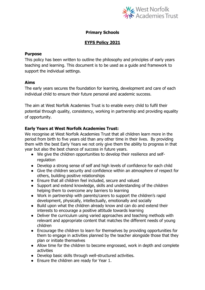

# **Primary Schools**

# **EYFS Policy 2021**

#### **Purpose**

This policy has been written to outline the philosophy and principles of early years teaching and learning. This document is to be used as a guide and framework to support the individual settings.

### **Aims**

The early years secures the foundation for learning, development and care of each individual child to ensure their future personal and academic success.

The aim at West Norfolk Academies Trust is to enable every child to fulfil their potential through quality, consistency, working in partnership and providing equality of opportunity.

# **Early Years at West Norfolk Academies Trust:**

We recognise at West Norfolk Academies Trust that all children learn more in the period from birth to five years old than any other time in their lives. By providing them with the best Early Years we not only give them the ability to progress in that year but also the best chance of success in future years.

- We give the children opportunities to develop their resilience and selfregulation
- Develop a strong sense of self and high levels of confidence for each child
- Give the children security and confidence within an atmosphere of respect for others, building positive relationships
- Ensure that all children feel included, secure and valued
- Support and extend knowledge, skills and understanding of the children helping them to overcome any barriers to learning
- Work in partnership with parents/carers to support the children's rapid development, physically, intellectually, emotionally and socially
- Build upon what the children already know and can do and extend their interests to encourage a positive attitude towards learning
- Deliver the curriculum using varied approaches and teaching methods with relevant and appropriate content that matches the different needs of young children
- Encourage the children to learn for themselves by providing opportunities for them to engage in activities planned by the teacher alongside those that they plan or initiate themselves
- Allow time for the children to become engrossed, work in depth and complete activities
- Develop basic skills through well-structured activities.
- Ensure the children are ready for Year 1.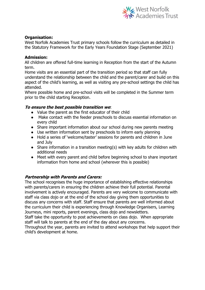

#### **Organisation:**

West Norfolk Academies Trust primary schools follow the curriculum as detailed in the Statutory Framework for the Early Years Foundation Stage (September 2021)

#### **Admission:**

All children are offered full-time learning in Reception from the start of the Autumn term.

Home visits are an essential part of the transition period so that staff can fully understand the relationship between the child and the parent/carer and build on this aspect of the child's learning, as well as visiting any pre-school settings the child has attended.

Where possible home and pre-school visits will be completed in the Summer term prior to the child starting Reception.

### **To ensure the best possible transition we**:

- Value the parent as the first educator of their child
- Make contact with the feeder preschools to discuss essential information on every child
- Share important information about our school during new parents meeting
- Use written information sent by preschools to inform early planning
- Hold a series of 'welcome/taster' sessions for parents and children in June and July
- Share information in a transition meeting(s) with key adults for children with additional needs
- Meet with every parent and child before beginning school to share important information from home and school (wherever this is possible)

### **Partnership with Parents and Carers:**

The school recognises the huge importance of establishing effective relationships with parents/carers in ensuring the children achieve their full potential. Parental involvement is actively encouraged. Parents are very welcome to communicate with staff via class dojo or at the end of the school day giving them opportunities to discuss any concerns with staff. Staff ensure that parents are well informed about the curriculum their child is experiencing through Knowledge Organisers, Learning Journeys, mini reports, parent evenings, class dojo and newsletters.

Staff take the opportunity to post achievements on class dojo. When appropriate staff will talk to parents at the end of the day about any concerns.

Throughout the year, parents are invited to attend workshops that help support their child's development at home.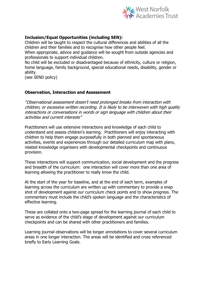

## **Inclusion/Equal Opportunities (including SEN):**

Children will be taught to respect the cultural differences and abilities of all the children and their families and to recognise how other people feel. When appropriate, advice and guidance will be sought from outside agencies and professionals to support individual children.

No child will be excluded or disadvantaged because of ethnicity, culture or religion, home language, family background, special educational needs, disability, gender or ability.

(see SEND policy)

#### **Observation, Interaction and Assessment**

"Observational assessment doesn't need prolonged breaks from interaction with children, or excessive written recording. It is likely to be interwoven with high quality interactions or conversations in words or sign language with children about their activities and current interests"

Practitioners will use extensive interactions and knowledge of each child to understand and assess children's learning. Practitioners will enjoy interacting with children to help them engage purposefully in both planned and spontaneous activities, events and experiences through our detailed curriculum map with plans, related knowledge organisers with developmental checkpoints and continuous provision.

These interactions will support communication, social development and the progress and breadth of the curriculum: one interaction will cover more than one area of learning allowing the practitioner to really know the child.

At the start of the year for baseline, and at the end of each term, examples of learning across the curriculum are written up with commentary to provide a snap shot of development against our curriculum check points and to show progress. The commentary must include the child's spoken language and the characteristics of effective learning.

These are collated onto a two-page spread for the learning journal of each child to serve as evidence of the child's stage of development against our curriculum checkpoints and can be shared with other practitioners and families.

Learning journal observations will be longer annotations to cover several curriculum areas in one longer interaction. The areas will be identified and cross referenced briefly to Early Learning Goals.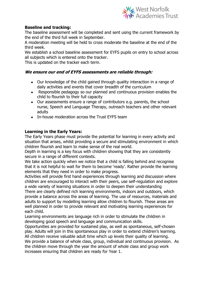

# **Baseline and tracking:**

The baseline assessment will be completed and sent using the current framework by the end of the third full week in September.

A moderation meeting will be held to cross moderate the baseline at the end of the third week.

We establish a school baseline assessment for EYFS pupils on entry to school across all subjects which is entered onto the tracker.

This is updated on the tracker each term.

### **We ensure our end of EYFS assessments are reliable through:**

- Our knowledge of the child gained through quality interaction in a range of daily activities and events that cover breadth of the curriculum
- Responsible pedagogy so our planned and continuous provision enables the child to flourish to their full capacity
- Our assessments ensure a range of contributors e.g. parents, the school nurse, Speech and Language Therapy, outreach teachers and other relevant adults
- In-house moderation across the Trust EYFS team

#### **Learning in the Early Years:**

The Early Years phase must provide the potential for learning in every activity and situation that arises, whilst providing a secure and stimulating environment in which children flourish and learn to make sense of the real world.

Depth in learning is a key focus with children showing that they are consistently secure in a range of different contexts.

We take action quickly when we notice that a child is falling behind and recognise that it is not helpful to wait for them to become 'ready'. Rather provide the learning elements that they need in order to make progress.

Activities will provide first hand experiences through learning and discussion where children are encouraged to interact with their peers, use self-regulation and explore a wide variety of learning situations in order to deepen their understanding

There are clearly defined rich learning environments, indoors and outdoors, which provide a balance across the areas of learning. The use of resources, materials and adults to support by modelling learning allow children to flourish. These areas are well planned in order to provide relevant and motivating learning experiences for each child.

Learning environments are language rich in order to stimulate the children in developing good speech and language and communication skills.

Opportunities are provided for sustained play, as well as spontaneous, self-chosen play. Adults will join in this spontaneous play in order to extend children's learning. All children receive valuable adult time which up levels their quality of learning.

We provide a balance of whole class, group, individual and continuous provision. As the children move through the year the amount of whole class and group work increases ensuring that children are ready for Year 1.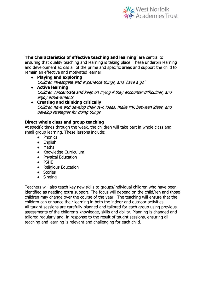

'**The Characteristics of effective teaching and learning'** are central to ensuring that quality teaching and learning is taking place. These underpin learning and development across all of the prime and specific areas and support the child to remain an effective and motivated learner.

- **Playing and exploring** Children investigate and experience things, and 'have a go'
- **Active learning** Children concentrate and keep on trying if they encounter difficulties, and enjoy achievements
- **Creating and thinking critically** Children have and develop their own ideas, make link between ideas, and develop strategies for doing things

# **Direct whole class and group teaching**

At specific times through the week, the children will take part in whole class and small group learning. These lessons include;

- Phonics
- English
- Maths
- Knowledge Curriculum
- Physical Education
- PSHE
- Religious Education
- Stories
- Singing

Teachers will also teach key new skills to groups/individual children who have been identified as needing extra support. The focus will depend on the child/ren and those children may change over the course of the year. The teaching will ensure that the children can enhance their learning in both the indoor and outdoor activities. All taught sessions are carefully planned and tailored for each group using previous assessments of the children's knowledge, skills and ability. Planning is changed and tailored regularly and, in response to the result of taught sessions, ensuring all teaching and learning is relevant and challenging for each child.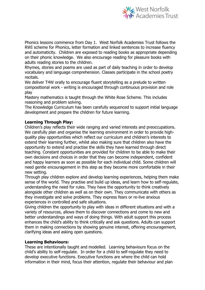

Phonics lessons commence from Day 1. West Norfolk Academies Trust follows the RWI scheme for Phonics, letter formation and linked sentences to increase fluency and automaticity. Children are exposed to reading books as appropriate depending on their phonic knowledge. We also encourage reading for pleasure books with adults reading stories to the children.

Rhymes, stories and poems are used as part of daily teaching in order to develop vocabulary and language comprehension. Classes participate in the school poetry recitals.

We deliver T4W orally to encourage fluent storytelling as a prelude to written compositional work - writing is encouraged through continuous provision and role play

Mastery mathematics is taught through the White Rose Scheme. This includes reasoning and problem solving.

The Knowledge Curriculum has been carefully sequenced to support initial language development and prepare the children for future learning.

# **Learning Through Play:**

Children's play reflects their wide ranging and varied interests and preoccupations. We carefully plan and organise the learning environment in order to provide highquality play opportunities which reflect our curriculum and children's interests to extend their learning further, whilst also making sure that children also have the opportunity to extend and practise the skills they have learned through direct teaching. Constant opportunities are provided for children to be able to make their own decisions and choices in order that they can become independent, confident and happy learners as soon as possible for each individual child. Some children will need gentle encouragement in this step as they become more comfortable in their new setting.

Through play children explore and develop learning experiences, helping them make sense of the world. They practise and build up ideas, and learn how to self-regulate, understanding the need for rules. They have the opportunity to think creatively alongside other children as well as on their own. They communicate with others as they investigate and solve problems. They express fears or re-live anxious experiences in controlled and safe situations.

Giving children the opportunity to play with ideas in different situations and with a variety of resources, allows them to discover connections and come to new and better understandings and ways of doing things. With adult support this process enhances the child's ability to think critically and ask questions. Adults can support them in making connections by showing genuine interest, offering encouragement, clarifying ideas and asking open questions.

#### **Learning Behaviours:**

These are intentionally taught and modelled. Learning behaviours focus on the child's ability to self-regulate. In order for a child to self-regulate they need to develop executive functions. Executive functions are where the child can hold information in their mind, focus their attention, regulate their behaviour and plan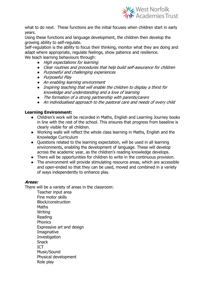

what to do next. These functions are the initial focuses when children start in early years.

Using these functions and language development, the children then develop the growing ability to self-regulate.

Self-regulation is the ability to focus their thinking, monitor what they are doing and adapt where appropriate, regulate feelings, show patience and resilience. We teach learning behaviours through:

- High expectations for learning
- Clear routines and procedures that help build self-assurance for children
- Purposeful and challenging experiences
- Purposeful Play
- An enabling learning environment
- Inspiring teaching that will enable the children to display a thirst for knowledge and understanding and a love of learning
- The formation of a strong partnership with parents/carers
- An individualised approach to the pastoral care and needs of every child

# **Learning Environment:**

- Children's work will be recorded in Maths, English and Learning Journey books in line with the rest of the school. This ensures that progress from baseline is clearly visible for all children.
- Working walls will reflect the whole class learning in Maths, English and the Knowledge Curriculum
- Questions related to the learning expectation, will be used in all learning environments, enabling the development of language. These will develop across the academic year, as the children's reading knowledge develops.
- There will be opportunities for children to write in the continuous provision.
- The environment will provide stimulating resource areas, which are accessible and open-ended so that they can be used, moved and combined in a variety of ways independently to enhance play.

#### **Areas:**

There will be a variety of areas in the classroom:

Teacher input area Fine motor skills Block/construction **Maths** Writing Reading **Phonics** Expressive art and design Imaginative Investigation **Snack** ICT Music/Sound Physical development Role play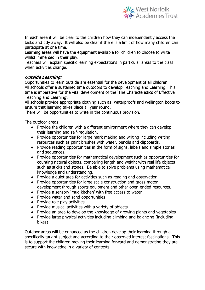

In each area it will be clear to the children how they can independently access the tasks and tidy away. It will also be clear if there is a limit of how many children can participate at one time.

Learning areas will have the equipment available for children to choose to write whilst immersed in their play.

Teachers will explain specific learning expectations in particular areas to the class when activities change.

# **Outside Learning:**

Opportunities to learn outside are essential for the development of all children. All schools offer a sustained time outdoors to develop Teaching and Learning. This time is imperative for the vital development of the 'The Characteristics of Effective Teaching and Learning'.

All schools provide appropriate clothing such as; waterproofs and wellington boots to ensure that learning takes place all year round.

There will be opportunities to write in the continuous provision.

The outdoor areas:

- Provide the children with a different environment where they can develop their learning and self-regulation.
- Provide opportunities for large mark making and writing including writing resources such as paint brushes with water, pencils and clipboards.
- Provide reading opportunities in the form of signs, labels and simple stories and sequences.
- Provide opportunities for mathematical development such as opportunities for counting natural objects, comparing length and weight with real life objects such as sticks and stones. Be able to solve problems using mathematical knowledge and understanding.
- Provide a quiet area for activities such as reading and observation.
- Provide opportunities for large scale construction and gross-motor development through sports equipment and other open-ended resources.
- Provide a sensory 'mud kitchen' with free access to water
- Provide water and sand opportunities
- Provide role play activities
- Provide musical activities with a variety of objects
- Provide an area to develop the knowledge of growing plants and vegetables
- Provide large physical activities including climbing and balancing (including bikes)

Outdoor areas will be enhanced as the children develop their learning through a specifically taught subject and according to their observed interest fascinations. This is to support the children moving their learning forward and demonstrating they are secure with knowledge in a variety of contexts.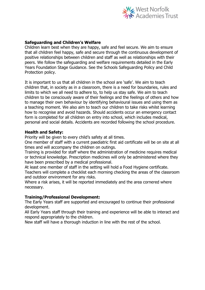

#### **Safeguarding and Children's Welfare**

Children learn best when they are happy, safe and feel secure. We aim to ensure that all children feel happy, safe and secure through the continuous development of positive relationships between children and staff as well as relationships with their peers. We follow the safeguarding and welfare requirements detailed in the Early Years Foundation Stage Guidance. See the Schools Safeguarding Policy and Child Protection policy.

It is important to us that all children in the school are 'safe'. We aim to teach children that, in society as in a classroom, there is a need for boundaries, rules and limits to which we all need to adhere to, to help us stay safe. We aim to teach children to be consciously aware of their feelings and the feelings of others and how to manage their own behaviour by identifying behavioural issues and using them as a teaching moment. We also aim to teach our children to take risks whilst learning how to recognise and avoid hazards. Should accidents occur an emergency contact form is completed for all children on entry into school, which includes medical, personal and social details. Accidents are recorded following the school procedure.

#### **Health and Safety:**

Priority will be given to every child's safety at all times.

One member of staff with a current paediatric first aid certificate will be on site at all times and will accompany the children on outings.

Training is provided for staff where the administration of medicine requires medical or technical knowledge. Prescription medicines will only be administered where they have been prescribed by a medical professional.

At least one member of staff in the setting will hold a Food Hygiene certificate. Teachers will complete a checklist each morning checking the areas of the classroom and outdoor environment for any risks.

Where a risk arises, it will be reported immediately and the area cornered where necessary.

#### **Training/Professional Development:**

The Early Years staff are supported and encouraged to continue their professional development.

All Early Years staff through their training and experience will be able to interact and respond appropriately to the children.

New staff will have a thorough induction in line with the rest of the school.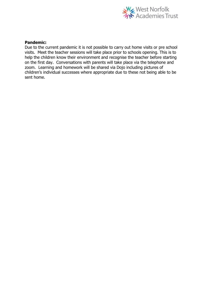

#### **Pandemic:**

Due to the current pandemic it is not possible to carry out home visits or pre school visits. Meet the teacher sessions will take place prior to schools opening. This is to help the children know their environment and recognise the teacher before starting on the first day. Conversations with parents will take place via the telephone and zoom. Learning and homework will be shared via Dojo including pictures of children's individual successes where appropriate due to these not being able to be sent home.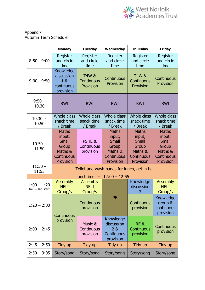

### Appendix Autumn Term Schedule

|                                                                    | <b>Monday</b>                                                                         | <b>Tuesday</b>                                   | Wednesday                                                                             | <b>Thursday</b>                                                                       | <b>Friday</b>                                                                         |
|--------------------------------------------------------------------|---------------------------------------------------------------------------------------|--------------------------------------------------|---------------------------------------------------------------------------------------|---------------------------------------------------------------------------------------|---------------------------------------------------------------------------------------|
| $8:50 - 9:00$                                                      | Register<br>and circle<br>time                                                        | Register<br>and circle<br>time                   | Register<br>and circle<br>time                                                        | Register<br>and circle<br>time                                                        | Register<br>and circle<br>time                                                        |
| $9:00 - 9:50$                                                      | Knowledge<br>discussion<br>18<br>continuous<br>provision                              | <b>T4W &amp;</b><br>Continuous<br>Provision      | Continuous<br>Provision                                                               | <b>T4W &amp;</b><br>Continuous<br>Provision                                           | Continuous<br>Provision                                                               |
| $9:50 -$<br>10.30                                                  | <b>RWI</b>                                                                            | <b>RWI</b>                                       | <b>RWI</b>                                                                            | <b>RWI</b>                                                                            | <b>RWI</b>                                                                            |
| $10.30 -$<br>10.50                                                 | Whole class<br>snack time<br><b>Break</b>                                             | <b>Whole class</b><br>snack time<br><b>Break</b> | <b>Whole class</b><br>snack time<br><b>Break</b>                                      | <b>Whole class</b><br>snack time<br>/ Break                                           | Whole class<br>snack time<br><b>Break</b>                                             |
| $10.50 -$<br>11.50                                                 | <b>Maths</b><br>input,<br><b>Small</b><br>Group<br>Maths &<br>Continuous<br>Provision | PSHE &<br>Continuous<br>provision                | <b>Maths</b><br>input,<br><b>Small</b><br>Group<br>Maths &<br>Continuous<br>Provision | <b>Maths</b><br>input,<br><b>Small</b><br>Group<br>Maths &<br>Continuous<br>Provision | <b>Maths</b><br>input,<br><b>Small</b><br>Group<br>Maths &<br>Continuous<br>Provision |
| $11:50 -$<br>Toilet and wash hands for lunch, get in hall<br>11:55 |                                                                                       |                                                  |                                                                                       |                                                                                       |                                                                                       |
|                                                                    |                                                                                       | Lunchtime<br>$\sim$                              | $12:00 - 12:55$                                                                       |                                                                                       |                                                                                       |
| $1:00 - 1:20$<br>Neli - Jan start                                  | <b>Assembly</b><br><b>NELI</b><br>Group/s                                             | <b>Assembly</b><br><b>NELI</b><br>Group/s        |                                                                                       | Knowledge<br>discussion                                                               | <b>Assembly</b><br><b>NELI</b><br>Group/s                                             |
| $1:20 - 2:00$                                                      | Continuous<br>provision                                                               | Continuous<br>provision                          | PE                                                                                    | Continuous<br>provision                                                               | Knowledge<br>group &<br>continuous<br>provision                                       |
| $2:00 - 2:45$                                                      |                                                                                       | Music &<br>Continuous<br>provision               | Knowledge<br>discussion<br>2 &<br>Continuous<br>provision                             | RE&<br>Continuous<br>provision                                                        | Continuous<br>provision                                                               |
| $2:45 - 2:50$                                                      | Tidy up                                                                               | Tidy up                                          | Tidy up                                                                               | Tidy up                                                                               | Tidy up                                                                               |
| $2:50 - 3:05$                                                      | Story/song                                                                            | Story/song                                       | Story/song                                                                            | Story/song                                                                            | Story/song                                                                            |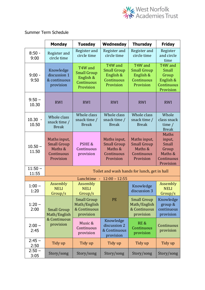

Summer Term Schedule

|                    | <b>Monday</b>                                                            | <b>Tuesday</b>                                                        | Wednesday                                                                | <b>Thursday</b>                                                          | <b>Friday</b>                                                                         |
|--------------------|--------------------------------------------------------------------------|-----------------------------------------------------------------------|--------------------------------------------------------------------------|--------------------------------------------------------------------------|---------------------------------------------------------------------------------------|
| $8:50 -$<br>9:00   | Register and<br>circle time                                              | Register and<br>circle time                                           | Register and<br>circle time                                              | Register and<br>circle time                                              | Register<br>and circle<br>time                                                        |
| $9:00 -$<br>9:50   | Knowledge<br>discussion 1<br>& continuous<br>provision                   | T4W and<br><b>Small Group</b><br>English &<br>Continuous<br>Provision | T4W and<br><b>Small Group</b><br>English &<br>Continuous<br>Provision    | T4W and<br><b>Small Group</b><br>English &<br>Continuous<br>Provision    | T <sub>4</sub> W and<br>Small<br>Group<br>English &<br>Continuous<br>Provision        |
| $9:50 -$<br>10.30  | <b>RWI</b>                                                               | <b>RWI</b>                                                            | <b>RWI</b>                                                               | <b>RWI</b>                                                               | <b>RWI</b>                                                                            |
| $10.30 -$<br>10.50 | Whole class<br>snack time /<br><b>Break</b>                              | Whole class<br>snack time /<br><b>Break</b>                           | Whole class<br>snack time /<br><b>Break</b>                              | Whole class<br>snack time /<br><b>Break</b>                              | Whole<br>class snack<br>time $/$<br><b>Break</b>                                      |
| $10.50 -$<br>11.50 | Maths input,<br><b>Small Group</b><br>Maths &<br>Continuous<br>Provision | PSHE &<br>Continuous<br>provision                                     | Maths input,<br><b>Small Group</b><br>Maths &<br>Continuous<br>Provision | Maths input,<br><b>Small Group</b><br>Maths &<br>Continuous<br>Provision | <b>Maths</b><br>input,<br><b>Small</b><br>Group<br>Maths &<br>Continuous<br>Provision |
| $11:50 -$<br>11:55 | Toilet and wash hands for lunch, get in hall                             |                                                                       |                                                                          |                                                                          |                                                                                       |
|                    |                                                                          | Lunchtime -                                                           | $12:00 - 12:55$                                                          |                                                                          |                                                                                       |
| $1:00 -$<br>1:20   | Assembly<br><b>NELI</b><br>Group/s                                       | Assembly<br><b>NELI</b><br>Group/s                                    |                                                                          | Knowledge<br>discussion 3                                                | <b>Assembly</b><br><b>NELI</b><br>Group/s                                             |
| $1:20 -$<br>2:00   | <b>Small Group</b><br>Math/English                                       | <b>Small Group</b><br>Math/English<br>& Continuous<br>provision       | PE                                                                       | <b>Small Group</b><br>Math/English<br>& Continuous<br>provision          | Knowledge<br>group &<br>continuous<br>provision                                       |
| $2:00 -$<br>2:45   | & Continuous<br>provision                                                | Music &<br>Continuous<br>provision                                    | Knowledge<br>discussion 2<br>& Continuous<br>provision                   | RE &<br>Continuous<br>provision                                          | Continuous<br>provision                                                               |
| $2:45 -$<br>2:50   | Tidy up                                                                  | Tidy up                                                               | Tidy up                                                                  | Tidy up                                                                  | Tidy up                                                                               |
| $2:50 -$<br>3:05   | Story/song                                                               | Story/song                                                            | Story/song                                                               | Story/song                                                               | Story/song                                                                            |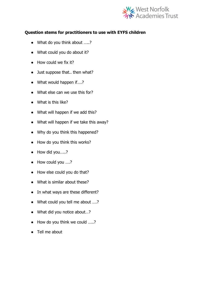

# **Question stems for practitioners to use with EYFS children**

- What do you think about .....?
- What could you do about it?
- How could we fix it?
- Just suppose that.. then what?
- What would happen if....?
- What else can we use this for?
- What is this like?
- What will happen if we add this?
- What will happen if we take this away?
- Why do you think this happened?
- How do you think this works?
- How did you.....?
- How could you ….?
- How else could you do that?
- What is similar about these?
- In what ways are these different?
- What could you tell me about ....?
- What did you notice about...?
- How do you think we could .....?
- Tell me about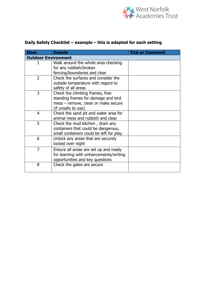

| Item                       | <b>Details</b>                                                                                                                      | <b>Tick or Comment</b> |  |  |  |
|----------------------------|-------------------------------------------------------------------------------------------------------------------------------------|------------------------|--|--|--|
| <b>Outdoor Environment</b> |                                                                                                                                     |                        |  |  |  |
| 1                          | Walk around the whole area checking<br>for any rubbish/broken                                                                       |                        |  |  |  |
|                            | fencing/boundaries and clear                                                                                                        |                        |  |  |  |
| $\overline{2}$             | Check the surfaces and consider the<br>outside temperature with regard to<br>safety of all areas                                    |                        |  |  |  |
| 3                          | Check the climbing frames, free<br>standing frames for damage and bird<br>mess - remove, clean or make secure<br>(if unsafe to use) |                        |  |  |  |
| 4                          | Check the sand pit and water area for<br>animal mess and rubbish and clear                                                          |                        |  |  |  |
| 5                          | Check the mud kitchen, drain any<br>containers that could be dangerous,<br>small containers could be left for play.                 |                        |  |  |  |
| 6                          | Unlock any areas that are securely<br>locked over night                                                                             |                        |  |  |  |
| $\overline{7}$             | Ensure all areas are set up and ready<br>for learning with enhancements/writing<br>opportunities and key questions                  |                        |  |  |  |
| 8                          | Check the gates are secure                                                                                                          |                        |  |  |  |

# **Daily Safety Checklist – example – this is adapted for each setting**